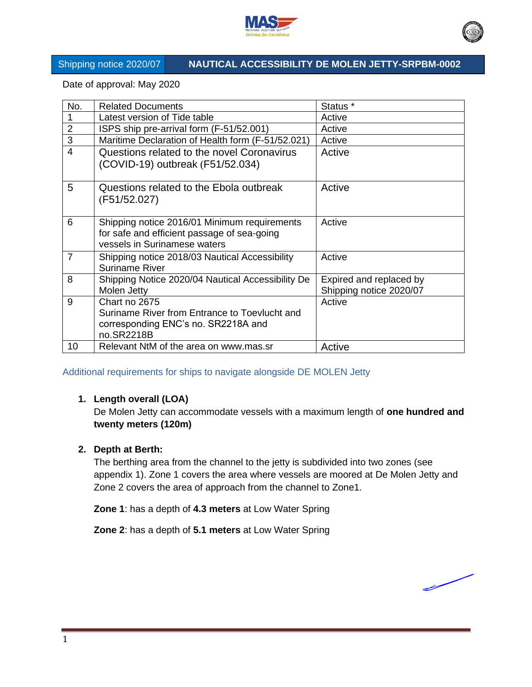



# Shipping notice 2020/07 **NAUTICAL ACCESSIBILITY DE MOLEN JETTY-SRPBM-0002**

Date of approval: May 2020

| No.            | <b>Related Documents</b>                          | Status <sup>*</sup>     |
|----------------|---------------------------------------------------|-------------------------|
|                | Latest version of Tide table                      | Active                  |
| $\overline{2}$ | ISPS ship pre-arrival form (F-51/52.001)          | Active                  |
| 3              | Maritime Declaration of Health form (F-51/52.021) | Active                  |
| 4              | Questions related to the novel Coronavirus        | Active                  |
|                | (COVID-19) outbreak (F51/52.034)                  |                         |
|                |                                                   |                         |
| 5              | Questions related to the Ebola outbreak           | Active                  |
|                | (F51/52.027)                                      |                         |
| 6              | Shipping notice 2016/01 Minimum requirements      | Active                  |
|                | for safe and efficient passage of sea-going       |                         |
|                | vessels in Surinamese waters                      |                         |
| $\overline{7}$ | Shipping notice 2018/03 Nautical Accessibility    | Active                  |
|                | <b>Suriname River</b>                             |                         |
| 8              | Shipping Notice 2020/04 Nautical Accessibility De | Expired and replaced by |
|                | Molen Jetty                                       | Shipping notice 2020/07 |
| 9              | Chart no 2675                                     | Active                  |
|                | Suriname River from Entrance to Toevlucht and     |                         |
|                | corresponding ENC's no. SR2218A and               |                         |
|                | no.SR2218B                                        |                         |
| 10             | Relevant NtM of the area on www.mas.sr            | Active                  |

Additional requirements for ships to navigate alongside DE MOLEN Jetty

# **1. Length overall (LOA)**

De Molen Jetty can accommodate vessels with a maximum length of **one hundred and twenty meters (120m)**

# **2. Depth at Berth:**

The berthing area from the channel to the jetty is subdivided into two zones (see appendix 1). Zone 1 covers the area where vessels are moored at De Molen Jetty and Zone 2 covers the area of approach from the channel to Zone1.

**Zone 1**: has a depth of **4.3 meters** at Low Water Spring

**Zone 2**: has a depth of **5.1 meters** at Low Water Spring

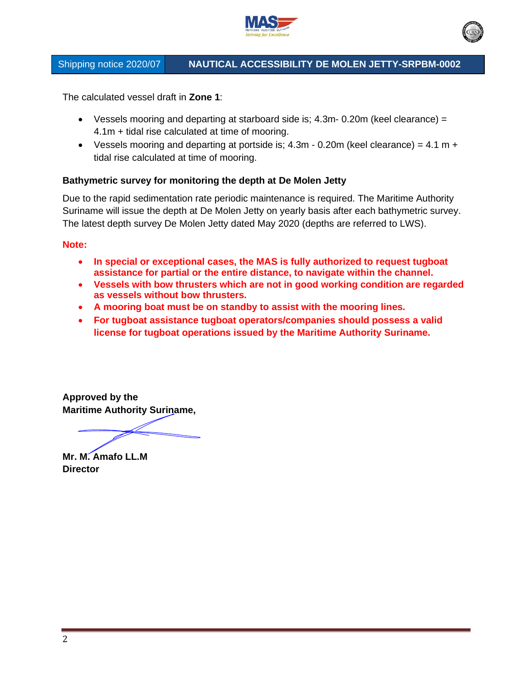

# Shipping notice 2020/07 **NAUTICAL ACCESSIBILITY DE MOLEN JETTY-SRPBM-0002**

The calculated vessel draft in **Zone 1**:

- Vessels mooring and departing at starboard side is; 4.3m- 0.20m (keel clearance) = 4.1m + tidal rise calculated at time of mooring.
- Vessels mooring and departing at portside is;  $4.3m 0.20m$  (keel clearance) =  $4.1 m +$ tidal rise calculated at time of mooring.

### **Bathymetric survey for monitoring the depth at De Molen Jetty**

Due to the rapid sedimentation rate periodic maintenance is required. The Maritime Authority Suriname will issue the depth at De Molen Jetty on yearly basis after each bathymetric survey. The latest depth survey De Molen Jetty dated May 2020 (depths are referred to LWS).

### **Note:**

- **In special or exceptional cases, the MAS is fully authorized to request tugboat assistance for partial or the entire distance, to navigate within the channel.**
- **Vessels with bow thrusters which are not in good working condition are regarded as vessels without bow thrusters.**
- **A mooring boat must be on standby to assist with the mooring lines.**
- **For tugboat assistance tugboat operators/companies should possess a valid license for tugboat operations issued by the Maritime Authority Suriname.**

**Approved by the Maritime Authority Suriname,**

**Mr. M. Amafo LL.M Director**